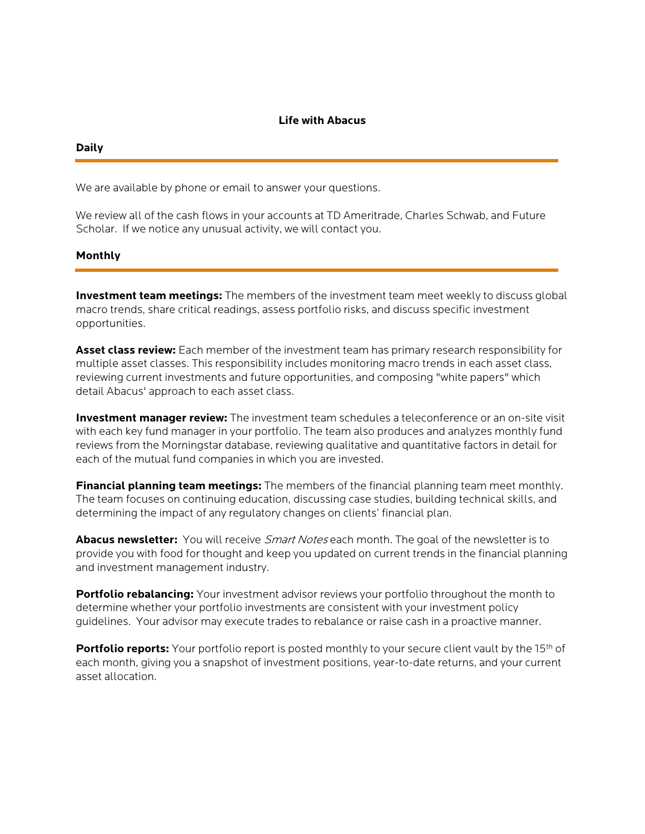# **Life with Abacus**

### **Daily**

We are available by phone or email to answer your questions.

We review all of the cash flows in your accounts at TD Ameritrade, Charles Schwab, and Future Scholar. If we notice any unusual activity, we will contact you.

# **Monthly**

**Investment team meetings:** The members of the investment team meet weekly to discuss global macro trends, share critical readings, assess portfolio risks, and discuss specific investment opportunities.

**Asset class review:** Each member of the investment team has primary research responsibility for multiple asset classes. This responsibility includes monitoring macro trends in each asset class, reviewing current investments and future opportunities, and composing "white papers" which detail Abacus' approach to each asset class.

**Investment manager review:** The investment team schedules a teleconference or an on-site visit with each key fund manager in your portfolio. The team also produces and analyzes monthly fund reviews from the Morningstar database, reviewing qualitative and quantitative factors in detail for each of the mutual fund companies in which you are invested.

**Financial planning team meetings:** The members of the financial planning team meet monthly. The team focuses on continuing education, discussing case studies, building technical skills, and determining the impact of any regulatory changes on clients' financial plan.

**Abacus newsletter:** You will receive Smart Notes each month. The goal of the newsletter is to provide you with food for thought and keep you updated on current trends in the financial planning and investment management industry.

**Portfolio rebalancing:** Your investment advisor reviews your portfolio throughout the month to determine whether your portfolio investments are consistent with your investment policy guidelines. Your advisor may execute trades to rebalance or raise cash in a proactive manner.

**Portfolio reports:** Your portfolio report is posted monthly to your secure client vault by the 15<sup>th</sup> of each month, giving you a snapshot of investment positions, year-to-date returns, and your current asset allocation.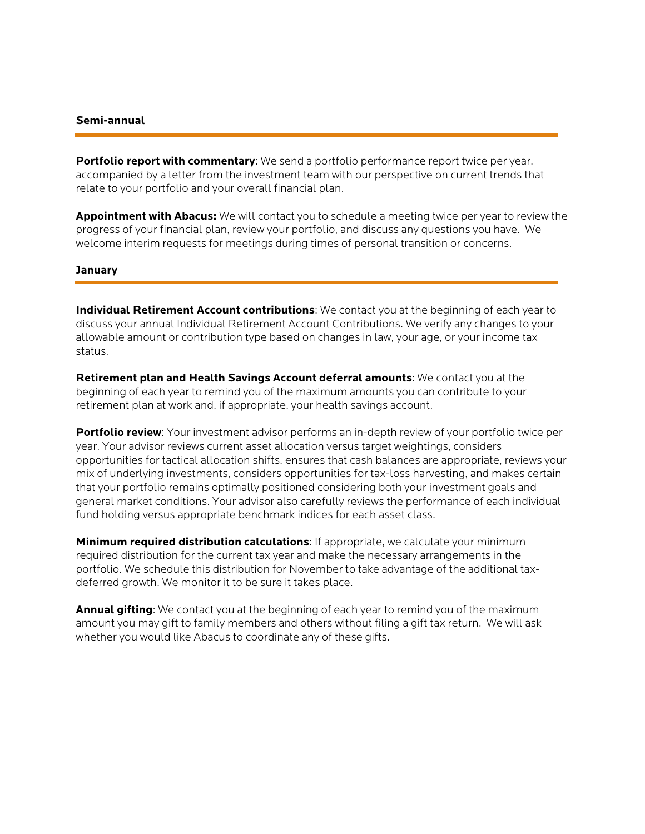# **Semi-annual**

**Portfolio report with commentary**: We send a portfolio performance report twice per year, accompanied by a letter from the investment team with our perspective on current trends that relate to your portfolio and your overall financial plan.

**Appointment with Abacus:** We will contact you to schedule a meeting twice per year to review the progress of your financial plan, review your portfolio, and discuss any questions you have. We welcome interim requests for meetings during times of personal transition or concerns.

# **January**

**Individual Retirement Account contributions**: We contact you at the beginning of each year to discuss your annual Individual Retirement Account Contributions. We verify any changes to your allowable amount or contribution type based on changes in law, your age, or your income tax status.

**Retirement plan and Health Savings Account deferral amounts**: We contact you at the beginning of each year to remind you of the maximum amounts you can contribute to your retirement plan at work and, if appropriate, your health savings account.

**Portfolio review**: Your investment advisor performs an in-depth review of your portfolio twice per year. Your advisor reviews current asset allocation versus target weightings, considers opportunities for tactical allocation shifts, ensures that cash balances are appropriate, reviews your mix of underlying investments, considers opportunities for tax-loss harvesting, and makes certain that your portfolio remains optimally positioned considering both your investment goals and general market conditions. Your advisor also carefully reviews the performance of each individual fund holding versus appropriate benchmark indices for each asset class.

**Minimum required distribution calculations**: If appropriate, we calculate your minimum required distribution for the current tax year and make the necessary arrangements in the portfolio. We schedule this distribution for November to take advantage of the additional taxdeferred growth. We monitor it to be sure it takes place.

**Annual gifting**: We contact you at the beginning of each year to remind you of the maximum amount you may gift to family members and others without filing a gift tax return. We will ask whether you would like Abacus to coordinate any of these gifts.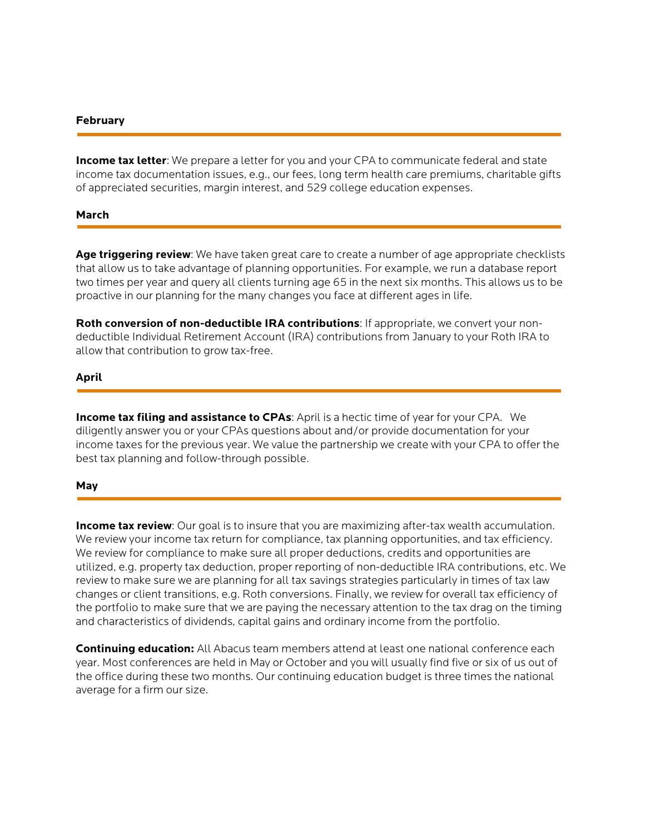# **February**

**Income tax letter**: We prepare a letter for you and your CPA to communicate federal and state income tax documentation issues, e.g., our fees, long term health care premiums, charitable gifts of appreciated securities, margin interest, and 529 college education expenses.

# **March**

**Age triggering review**: We have taken great care to create a number of age appropriate checklists that allow us to take advantage of planning opportunities. For example, we run a database report two times per year and query all clients turning age 65 in the next six months. This allows us to be proactive in our planning for the many changes you face at different ages in life.

**Roth conversion of non-deductible IRA contributions**: If appropriate, we convert your nondeductible Individual Retirement Account (IRA) contributions from January to your Roth IRA to allow that contribution to grow tax-free.

#### **April**

**Income tax filing and assistance to CPAs**: April is a hectic time of year for your CPA. We diligently answer you or your CPAs questions about and/or provide documentation for your income taxes for the previous year. We value the partnership we create with your CPA to offer the best tax planning and follow-through possible.

#### **May**

**Income tax review**: Our goal is to insure that you are maximizing after-tax wealth accumulation. We review your income tax return for compliance, tax planning opportunities, and tax efficiency. We review for compliance to make sure all proper deductions, credits and opportunities are utilized, e.g. property tax deduction, proper reporting of non-deductible IRA contributions, etc. We review to make sure we are planning for all tax savings strategies particularly in times of tax law changes or client transitions, e.g. Roth conversions. Finally, we review for overall tax efficiency of the portfolio to make sure that we are paying the necessary attention to the tax drag on the timing and characteristics of dividends, capital gains and ordinary income from the portfolio.

**Continuing education:** All Abacus team members attend at least one national conference each year. Most conferences are held in May or October and you will usually find five or six of us out of the office during these two months. Our continuing education budget is three times the national average for a firm our size.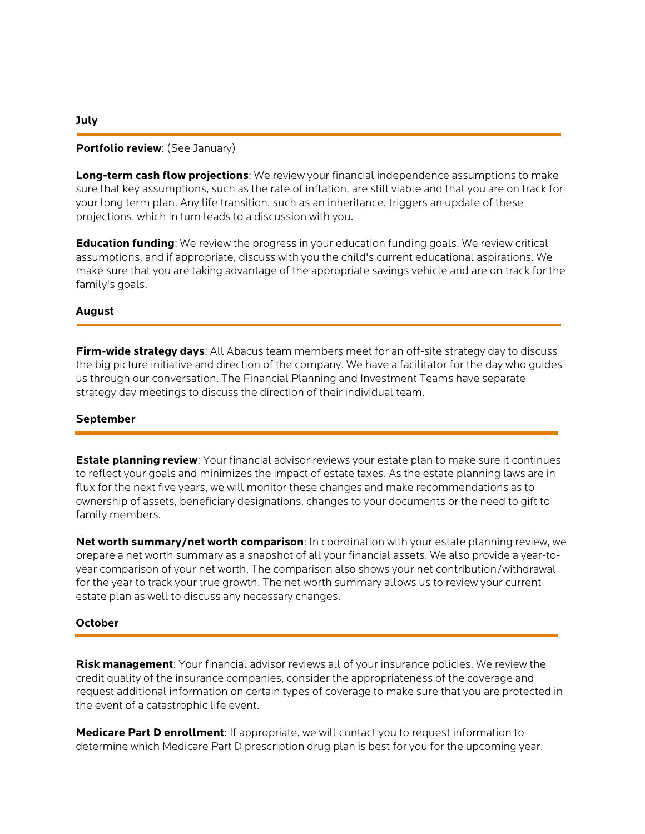# **Portfolio review**: (See January)

**Long-term cash flow projections**: We review your financial independence assumptions to make sure that key assumptions, such as the rate of inflation, are still viable and that you are on track for your long term plan. Any life transition, such as an inheritance, triggers an update of these projections, which in turn leads to a discussion with you.

**Education funding**: We review the progress in your education funding goals. We review critical assumptions, and if appropriate, discuss with you the child's current educational aspirations. We make sure that you are taking advantage of the appropriate savings vehicle and are on track for the family's goals.

# **August**

**Firm-wide strategy days**: All Abacus team members meet for an off-site strategy day to discuss the big picture initiative and direction of the company. We have a facilitator for the day who guides us through our conversation. The Financial Planning and Investment Teams have separate strategy day meetings to discuss the direction of their individual team.

# **September**

**Estate planning review**: Your financial advisor reviews your estate plan to make sure it continues to reflect your goals and minimizes the impact of estate taxes. As the estate planning laws are in flux for the next five years, we will monitor these changes and make recommendations as to ownership of assets, beneficiary designations, changes to your documents or the need to gift to family members.

**Net worth summary/net worth comparison**: In coordination with your estate planning review, we prepare a net worth summary as a snapshot of all your financial assets. We also provide a year-toyear comparison of your net worth. The comparison also shows your net contribution/withdrawal for the year to track your true growth. The net worth summary allows us to review your current estate plan as well to discuss any necessary changes.

# **October**

**Risk management**: Your financial advisor reviews all of your insurance policies. We review the credit quality of the insurance companies, consider the appropriateness of the coverage and request additional information on certain types of coverage to make sure that you are protected in the event of a catastrophic life event.

**Medicare Part D enrollment**: If appropriate, we will contact you to request information to determine which Medicare Part D prescription drug plan is best for you for the upcoming year.

#### **July**